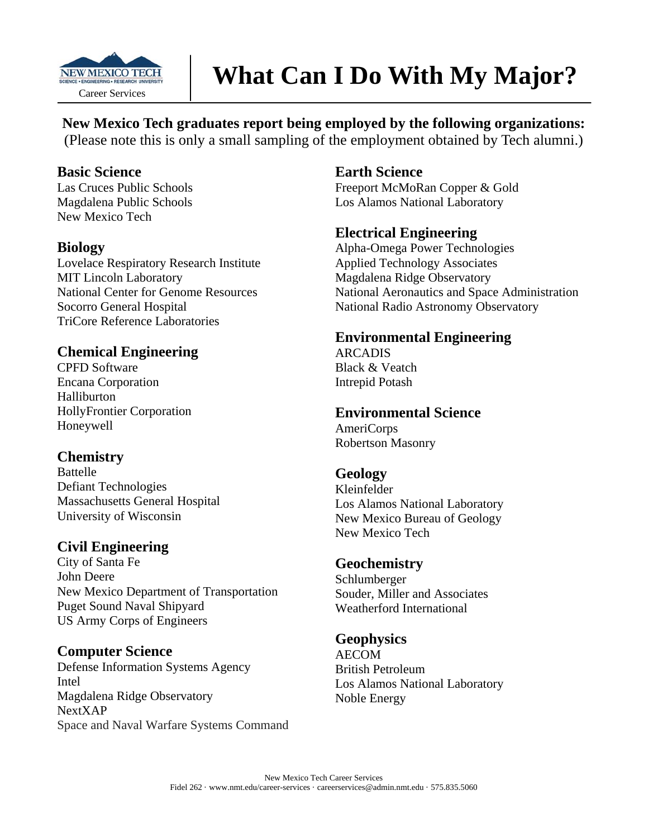

# **What Can I Do With My Major?**

**New Mexico Tech graduates report being employed by the following organizations:**  (Please note this is only a small sampling of the employment obtained by Tech alumni.)

### **Basic Science**

Las Cruces Public Schools Magdalena Public Schools New Mexico Tech

### **Biology**

Lovelace Respiratory Research Institute MIT Lincoln Laboratory National Center for Genome Resources Socorro General Hospital TriCore Reference Laboratories

## **Chemical Engineering**

CPFD Software Encana Corporation Halliburton HollyFrontier Corporation Honeywell

### **Chemistry**

Battelle Defiant Technologies Massachusetts General Hospital University of Wisconsin

# **Civil Engineering**

City of Santa Fe John Deere New Mexico Department of Transportation Puget Sound Naval Shipyard US Army Corps of Engineers

## **Computer Science**

Defense Information Systems Agency Intel Magdalena Ridge Observatory NextXAP Space and Naval Warfare Systems Command

### **Earth Science**

Freeport McMoRan Copper & Gold Los Alamos National Laboratory

### **Electrical Engineering**

Alpha-Omega Power Technologies Applied Technology Associates Magdalena Ridge Observatory National Aeronautics and Space Administration National Radio Astronomy Observatory

## **Environmental Engineering**

ARCADIS Black & Veatch Intrepid Potash

## **Environmental Science**

AmeriCorps Robertson Masonry

## **Geology**

Kleinfelder Los Alamos National Laboratory New Mexico Bureau of Geology New Mexico Tech

### **Geochemistry**

Schlumberger Souder, Miller and Associates Weatherford International

## **Geophysics**

AECOM British Petroleum Los Alamos National Laboratory Noble Energy